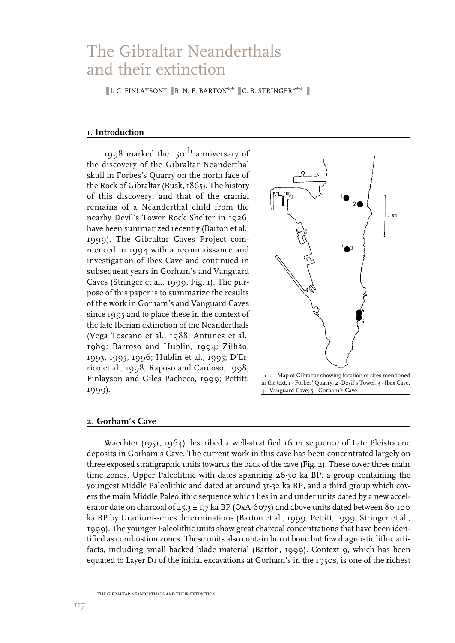# The Gibraltar Neanderthals and their extinction

**■** J. C. FINLAYSON<sup>\*</sup> ■ R. N. E. BARTON<sup>\*\*</sup> ■ C. B. STRINGER<sup>\*\*\*</sup>

# **1. Introduction**

1998 marked the 150th anniversary of the discovery of the Gibraltar Neanderthal skull in Forbes's Quarry on the north face of the Rock of Gibraltar (Busk, 1865). The history of this discovery, and that of the cranial remains of a Neanderthal child from the nearby Devil's Tower Rock Shelter in 1926, have been summarized recently (Barton et al., 1999). The Gibraltar Caves Project commenced in 1994 with a reconnaissance and investigation of Ibex Cave and continued in subsequent years in Gorham's and Vanguard Caves (Stringer et al., 1999, Fig. 1). The purpose of this paper is to summarize the results of the work in Gorham's and Vanguard Caves since 1995 and to place these in the context of the late Iberian extinction of the Neanderthals (Vega Toscano et al., 1988; Antunes et al., 1989; Barroso and Hublin, 1994; Zilhão, 1993, 1995, 1996; Hublin et al., 1995; D'Errico et al., 1998; Raposo and Cardoso, 1998; Finlayson and Giles Pacheco, 1999; Pettitt, 1999).



FIG. 1 – Map of Gibraltar showing location of sites mentioned in the text: 1 - Forbes' Quarry; 2 -Devil's Tower; 3 - Ibex Cave; 4 - Vanguard Cave; 5 - Gorham's Cave.

#### **2. Gorham's Cave**

Waechter (1951, 1964) described a well-stratified 16 m sequence of Late Pleistocene deposits in Gorham's Cave. The current work in this cave has been concentrated largely on three exposed stratigraphic units towards the back of the cave (Fig. 2). These cover three main time zones, Upper Paleolithic with dates spanning 26-30 ka BP, a group containing the youngest Middle Paleolithic and dated at around 31-32 ka BP, and a third group which covers the main Middle Paleolithic sequence which lies in and under units dated by a new accelerator date on charcoal of  $45.3 \pm 1.7$  ka BP (OxA-6075) and above units dated between 80-100 ka BP by Uranium-series determinations (Barton et al., 1999; Pettitt, 1999; Stringer et al., 1999). The younger Paleolithic units show great charcoal concentrations that have been identified as combustion zones. These units also contain burnt bone but few diagnostic lithic artifacts, including small backed blade material (Barton, 1999). Context 9, which has been equated to Layer D1 of the initial excavations at Gorham's in the 1950s, is one of the richest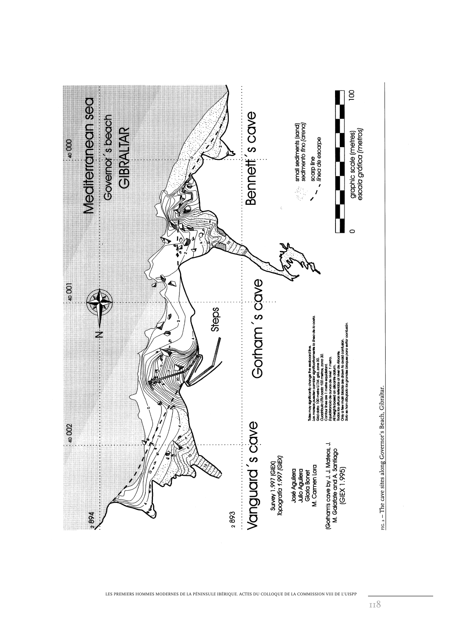

LES PREMIERS HOMMES MODERNES DE LA PÉNINSULE IBÉRIQUE. ACTES DU COLLOQUE DE LA COMMISSION VIII DE L'UISPP

118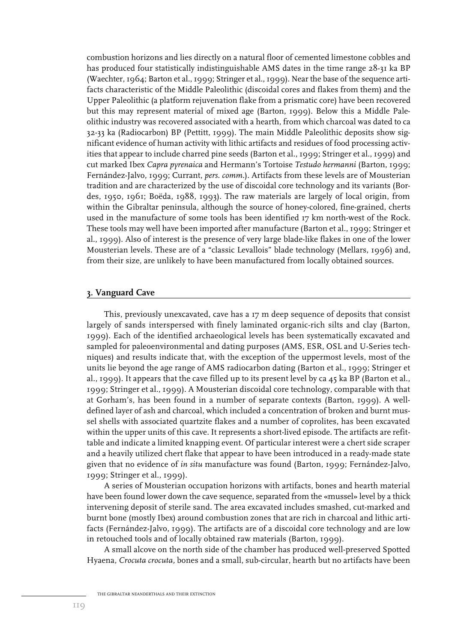combustion horizons and lies directly on a natural floor of cemented limestone cobbles and has produced four statistically indistinguishable AMS dates in the time range 28-31 ka BP (Waechter, 1964; Barton et al., 1999; Stringer et al., 1999). Near the base of the sequence artifacts characteristic of the Middle Paleolithic (discoidal cores and flakes from them) and the Upper Paleolithic (a platform rejuvenation flake from a prismatic core) have been recovered but this may represent material of mixed age (Barton, 1999). Below this a Middle Paleolithic industry was recovered associated with a hearth, from which charcoal was dated to ca 32-33 ka (Radiocarbon) BP (Pettitt, 1999). The main Middle Paleolithic deposits show significant evidence of human activity with lithic artifacts and residues of food processing activities that appear to include charred pine seeds (Barton et al., 1999; Stringer et al., 1999) and cut marked Ibex *Capra pyrenaica* and Hermann's Tortoise *Testudo hermanni* (Barton, 1999; Fernández-Jalvo, 1999; Currant, *pers. comm.*). Artifacts from these levels are of Mousterian tradition and are characterized by the use of discoidal core technology and its variants (Bordes, 1950, 1961; Boëda, 1988, 1993). The raw materials are largely of local origin, from within the Gibraltar peninsula, although the source of honey-colored, fine-grained, cherts used in the manufacture of some tools has been identified 17 km north-west of the Rock. These tools may well have been imported after manufacture (Barton et al., 1999; Stringer et al., 1999). Also of interest is the presence of very large blade-like flakes in one of the lower Mousterian levels. These are of a "classic Levallois" blade technology (Mellars, 1996) and, from their size, are unlikely to have been manufactured from locally obtained sources.

#### **3. Vanguard Cave**

This, previously unexcavated, cave has a 17 m deep sequence of deposits that consist largely of sands interspersed with finely laminated organic-rich silts and clay (Barton, 1999). Each of the identified archaeological levels has been systematically excavated and sampled for paleoenvironmental and dating purposes (AMS, ESR, OSL and U-Series techniques) and results indicate that, with the exception of the uppermost levels, most of the units lie beyond the age range of AMS radiocarbon dating (Barton et al., 1999; Stringer et al., 1999). It appears that the cave filled up to its present level by ca 45 ka BP (Barton et al., 1999; Stringer et al., 1999). A Mousterian discoidal core technology, comparable with that at Gorham's, has been found in a number of separate contexts (Barton, 1999). A welldefined layer of ash and charcoal, which included a concentration of broken and burnt mussel shells with associated quartzite flakes and a number of coprolites, has been excavated within the upper units of this cave. It represents a short-lived episode. The artifacts are refittable and indicate a limited knapping event. Of particular interest were a chert side scraper and a heavily utilized chert flake that appear to have been introduced in a ready-made state given that no evidence of *in situ* manufacture was found (Barton, 1999; Fernández-Jalvo, 1999; Stringer et al., 1999).

A series of Mousterian occupation horizons with artifacts, bones and hearth material have been found lower down the cave sequence, separated from the «mussel» level by a thick intervening deposit of sterile sand. The area excavated includes smashed, cut-marked and burnt bone (mostly Ibex) around combustion zones that are rich in charcoal and lithic artifacts (Fernández-Jalvo, 1999). The artifacts are of a discoidal core technology and are low in retouched tools and of locally obtained raw materials (Barton, 1999).

A small alcove on the north side of the chamber has produced well-preserved Spotted Hyaena, *Crocuta crocuta,* bones and a small, sub-circular, hearth but no artifacts have been

THE GIBRALTAR NEANDERTHALS AND THEIR EXTINCTION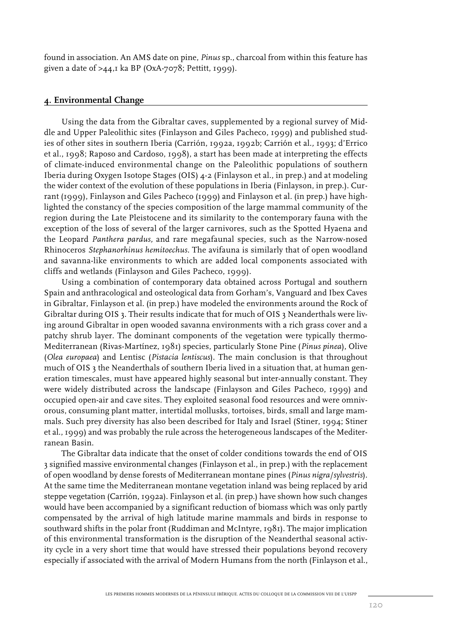found in association. An AMS date on pine, *Pinus* sp., charcoal from within this feature has given a date of  $>44$ , I ka BP (OxA-7078; Pettitt, 1999).

### **4. Environmental Change**

Using the data from the Gibraltar caves, supplemented by a regional survey of Middle and Upper Paleolithic sites (Finlayson and Giles Pacheco, 1999) and published studies of other sites in southern Iberia (Carrión, 1992a, 1992b; Carrión et al.*,* 1993; d'Errico et al., 1998; Raposo and Cardoso, 1998), a start has been made at interpreting the effects of climate-induced environmental change on the Paleolithic populations of southern Iberia during Oxygen Isotope Stages (OIS) 4-2 (Finlayson et al., in prep.) and at modeling the wider context of the evolution of these populations in Iberia (Finlayson, in prep.). Currant (1999), Finlayson and Giles Pacheco (1999) and Finlayson et al. (in prep.) have highlighted the constancy of the species composition of the large mammal community of the region during the Late Pleistocene and its similarity to the contemporary fauna with the exception of the loss of several of the larger carnivores, such as the Spotted Hyaena and the Leopard *Panthera pardus,* and rare megafaunal species, such as the Narrow-nosed Rhinoceros *Stephanorhinus hemitoechus.* The avifauna is similarly that of open woodland and savanna-like environments to which are added local components associated with cliffs and wetlands (Finlayson and Giles Pacheco, 1999).

Using a combination of contemporary data obtained across Portugal and southern Spain and anthracological and osteological data from Gorham's, Vanguard and Ibex Caves in Gibraltar, Finlayson et al. (in prep.) have modeled the environments around the Rock of Gibraltar during OIS 3. Their results indicate that for much of OIS 3 Neanderthals were living around Gibraltar in open wooded savanna environments with a rich grass cover and a patchy shrub layer. The dominant components of the vegetation were typically thermo-Mediterranean (Rivas-Martínez, 1981) species, particularly Stone Pine (*Pinus pinea*), Olive (*Olea europaea*) and Lentisc (*Pistacia lentiscus*). The main conclusion is that throughout much of OIS 3 the Neanderthals of southern Iberia lived in a situation that, at human generation timescales, must have appeared highly seasonal but inter-annually constant. They were widely distributed across the landscape (Finlayson and Giles Pacheco, 1999) and occupied open-air and cave sites. They exploited seasonal food resources and were omnivorous, consuming plant matter, intertidal mollusks, tortoises, birds, small and large mammals. Such prey diversity has also been described for Italy and Israel (Stiner, 1994; Stiner et al., 1999) and was probably the rule across the heterogeneous landscapes of the Mediterranean Basin.

The Gibraltar data indicate that the onset of colder conditions towards the end of OIS 3 signified massive environmental changes (Finlayson et al., in prep.) with the replacement of open woodland by dense forests of Mediterranean montane pines (*Pinus nigra*/*sylvestris*). At the same time the Mediterranean montane vegetation inland was being replaced by arid steppe vegetation (Carrión, 1992a). Finlayson et al. (in prep.) have shown how such changes would have been accompanied by a significant reduction of biomass which was only partly compensated by the arrival of high latitude marine mammals and birds in response to southward shifts in the polar front (Ruddiman and McIntyre, 1981). The major implication of this environmental transformation is the disruption of the Neanderthal seasonal activity cycle in a very short time that would have stressed their populations beyond recovery especially if associated with the arrival of Modern Humans from the north (Finlayson et al.,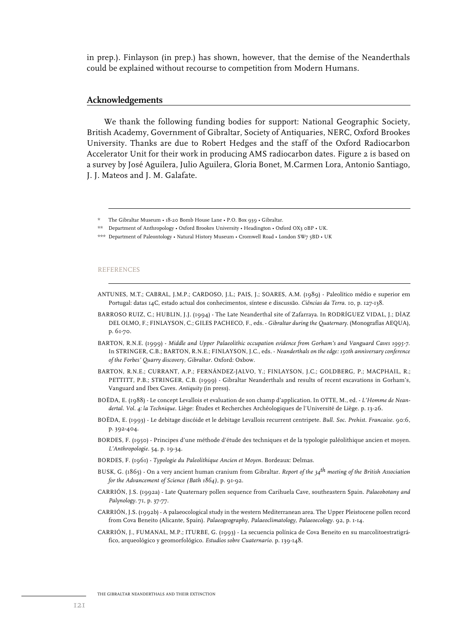in prep.). Finlayson (in prep.) has shown, however, that the demise of the Neanderthals could be explained without recourse to competition from Modern Humans.

# **Acknowledgements**

We thank the following funding bodies for support: National Geographic Society, British Academy, Government of Gibraltar, Society of Antiquaries, NERC, Oxford Brookes University. Thanks are due to Robert Hedges and the staff of the Oxford Radiocarbon Accelerator Unit for their work in producing AMS radiocarbon dates. Figure 2 is based on a survey by José Aguilera, Julio Aguilera, Gloria Bonet, M.Carmen Lora, Antonio Santiago, J. J. Mateos and J. M. Galafate.

#### REFERENCES

- ANTUNES, M.T.; CABRAL, J.M.P.; CARDOSO, J.L.; PAIS, J.; SOARES, A.M. (1989) Paleolítico médio e superior em Portugal: datas 14C, estado actual dos conhecimentos, síntese e discussão. *Ciências da Terra*. 10, p. 127-138.
- BARROSO RUIZ, C.; HUBLIN, J.J. (1994) The Late Neanderthal site of Zafarraya*.* In RODRÍGUEZ VIDAL, J.; DÌAZ DEL OLMO, F.; FINLAYSON, C.; GILES PACHECO, F., eds. - *Gibraltar during the Quaternary*. (Monografías AEQUA), p. 61-70.
- BARTON, R.N.E. (1999) *Middle and Upper Palaeolithic occupation evidence from Gorham's and Vanguard Caves 1995-7.*  In STRINGER, C.B.; BARTON, R.N.E.; FINLAYSON, J.C., eds. - *Neanderthals on the edge: 150th anniversary conference of the Forbes' Quarry discovery, Gibraltar.* Oxford: Oxbow.
- BARTON, R.N.E.; CURRANT, A.P.; FERNÁNDEZ-JALVO, Y.; FINLAYSON, J.C.; GOLDBERG, P.; MACPHAIL, R.; PETTITT, P.B.; STRINGER, C.B. (1999) - Gibraltar Neanderthals and results of recent excavations in Gorham's, Vanguard and Ibex Caves. *Antiquity* (in press).
- BOËDA, E. (1988) Le concept Levallois et evaluation de son champ d'application. In OTTE, M., ed. *L'Homme de Neandertal. Vol. 4: la Technique.* Liège: Études et Recherches Archéologiques de l'Université de Liège. p. 13-26.
- BOËDA, E. (1993) Le debitage discóide et le debitage Levallois recurrent centripete. *Bull. Soc. Prehist. Francaise*. 90:6, p. 392-404.
- BORDES, F. (1950) Principes d'une méthode d'étude des techniques et de la typologie paléolithique ancien et moyen. *L'Anthropologie*. 54, p. 19-34.
- BORDES, F. (1961) *Typologie du Paleolithique Ancien et Moyen*. Bordeaux: Delmas.
- BUSK, G. (1865) On a very ancient human cranium from Gibraltar. *Report of the 34th meeting of the British Association for the Advancement of Science (Bath 1864)*, p. 91-92.
- CARRIÓN, J.S. (1992a) Late Quaternary pollen sequence from Carihuela Cave, southeastern Spain. *Palaeobotany and Palynology.* 71, p. 37-77.
- CARRIÓN, J.S. (1992b) A palaeocological study in the western Mediterranean area. The Upper Pleistocene pollen record from Cova Beneito (Alicante, Spain). *Palaeogeography, Palaeoclimatology, Palaeoecology*. 92, p. 1-14.
- CARRIÓN, J., FUMANAL, M.P.; ITURBE, G. (1993) La secuencia polínica de Cova Beneito en su marcolitoestratigráfico, arqueológico y geomorfológico. *Estudios sobre Cuaternario*. p. 139-148.

THE GIBRALTAR NEANDERTHALS AND THEIR EXTINCTION

<sup>\*</sup> The Gibraltar Museum • 18-20 Bomb House Lane • P.O. Box 939 • Gibraltar.

<sup>\*\*</sup> Department of Anthropology • Oxford Brookes University • Headington • Oxford OX3 0BP • UK.

<sup>\*\*\*</sup> Department of Paleontology • Natural History Museum • Cromwell Road • London SW7 5BD • UK